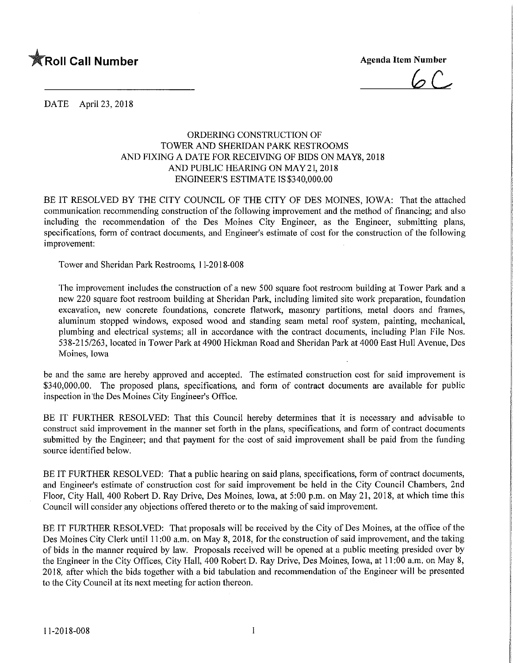

 $6C.$ 

DATE April 23, 2018

## ORDERING CONSTRUCTION OF TOWER AND SHERIDAN PARK RESTROOMS AND FIXING A DATE FOR RECEIVING OF BIDS ON MAY8, 2018 AND PUBLIC HEARING ON MAY 21, 2018 ENGINEER'S ESTIMATE IS \$340,000.00

BE IT RESOLVED BY THE CITY COUNCIL OF THE CITY OF DES MOINES, IOWA: That the attached communication recommending construction of the following improvement and the method of financing; and also including the recommendation of the Des Moines City Engineer, as the Engineer, submitting plans, specifications, form of contract documents, and Engineer's estimate of cost for the construction of the following improvement:

Tower and Sheridan Park Restrooms, 11-2018-008

The improvement includes the construction of a new 500 square foot restroom building at Tower Park and a new 220 square foot restroom building at Sheridan Park, including limited site work preparation, foundation excavation, new concrete foundations, concrete flatwork, masonry partitions, metal doors and frames, aluminum stopped windows, exposed wood and standing seam metal roof system, painting, mechanical, plumbing and electrical systems; all in accordance with the contract documents, including Plan File Nos. 538-215/263, located in Tower Park at 4900 Hickman Road and Sheridan Park at 4000 East Hull Avenue, Des Moines, Iowa

be and the same are hereby approved and accepted. The estimated construction cost for said improvement is \$340,000.00. The proposed plans, specifications, and form of contract documents are available for public inspection in the Des Moines City Engineer's Office.

BE IT FURTHER RESOLVED: That this Council hereby determines that it is necessary and advisable to construct said improvement in the manner set forth in the plans, specifications, and form of contract documents submitted by the Engineer; and that payment for the cost of said improvement shall be paid from the funding source identified below.

BE IT FURTHER RESOLVED: That a public hearing on said plans, specifications, form of contract documents, and Engineer's estimate of construction cost for said improvement be held in the City Council Chambers, 2nd Floor, City Hall, 400 Robert D. Ray Drive, Des Moines, Iowa, at 5:00 p.m. on May 21, 2018, at which time this Council will consider any objections offered thereto or to the making of said improvement.

BE IT FURTHER RESOLVED: That proposals will be received by the City of Des Moines, at the office of the Des Moines City Clerk until 11:00 a.m. on May 8, 2018, for the construction of said improvement, and the taking of bids in the manner required by law. Proposals received will be opened at a public meeting presided over by the Engineer in the City Offices, City Hall, 400 Robert D. Ray Drive, Des Moines, Iowa, at 11:00 a.m. on May 8, 2018, after which the bids together with a bid tabulation and recommendation of the Engineer will be presented to the City Council at its next meeting for action thereon.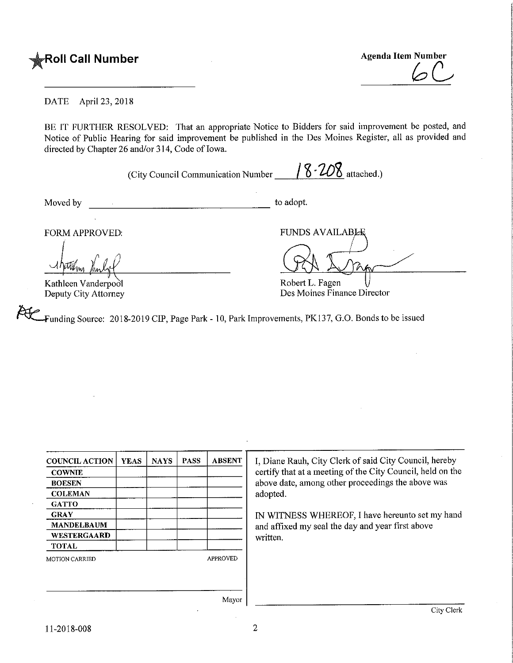

**Agenda Item Number** 

## DATE April 23, 2018

BE IT FURTHER RESOLVED: That an appropriate Notice to Bidders for said improvement be posted, and Notice of Public Hearing for said improvement be published in the Des Moines Register, all as provided and directed by Chapter 26 and/or 314, Code of Iowa.

(City Council Communication Number  $\frac{8.208}{\ldots}$  attached.)

Moved by to adopt.

Kathleen Vanderpodl Deputy City Attorney

FORM APPROVED: FUNDS AVAILABLE

Robert L. Fagen Des Moines Finance Director

Funding Source: 2018-2019 CIP, Page Park - 10, Park Improvements, PK137, G.O. Bonds to be issued

| <b>COUNCIL ACTION</b> | <b>YEAS</b> | <b>NAYS</b>     | <b>PASS</b> | <b>ABSENT</b> | I, Diane Rauh, City Clerk of said City Council, hereby     |  |
|-----------------------|-------------|-----------------|-------------|---------------|------------------------------------------------------------|--|
| <b>COWNIE</b>         |             |                 |             |               | certify that at a meeting of the City Council, held on the |  |
| <b>BOESEN</b>         |             |                 |             |               | above date, among other proceedings the above was          |  |
| <b>COLEMAN</b>        |             |                 |             |               | adopted.                                                   |  |
| <b>GATTO</b>          |             |                 |             |               |                                                            |  |
| <b>GRAY</b>           |             |                 |             |               | IN WITNESS WHEREOF, I have hereunto set my hand            |  |
| <b>MANDELBAUM</b>     |             |                 |             |               | and affixed my seal the day and year first above           |  |
| <b>WESTERGAARD</b>    |             |                 |             |               | written.                                                   |  |
| <b>TOTAL</b>          |             |                 |             |               |                                                            |  |
| <b>MOTION CARRIED</b> |             | <b>APPROVED</b> |             |               |                                                            |  |
|                       |             |                 |             |               |                                                            |  |
|                       |             |                 |             |               |                                                            |  |
|                       |             |                 |             |               |                                                            |  |
|                       |             |                 |             | Mayor         |                                                            |  |
|                       |             |                 |             |               | City Clerk                                                 |  |